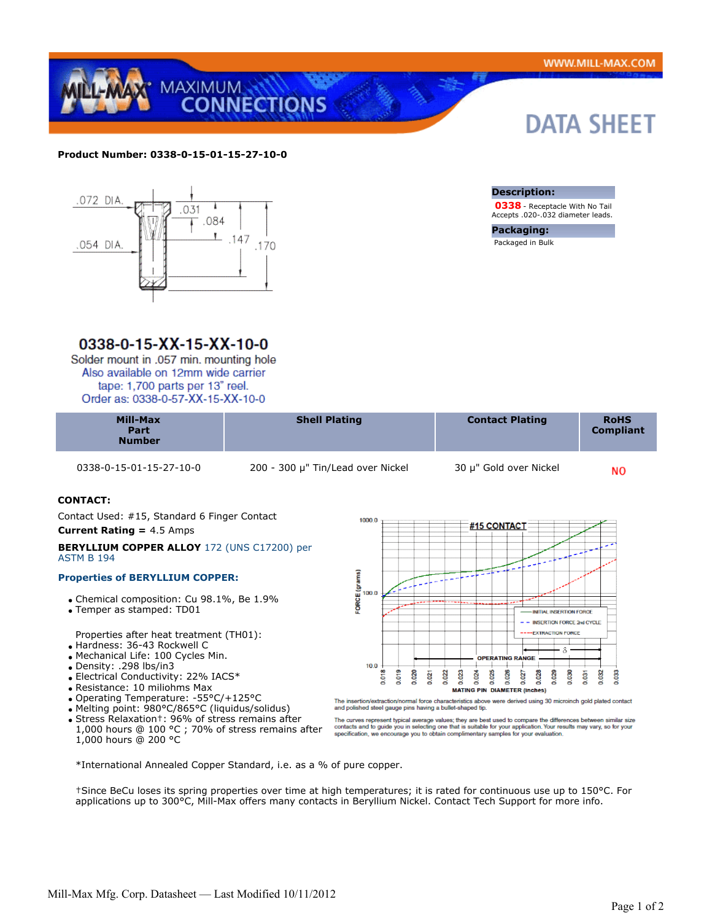DATA SHEET



#### **Product Number: 0338-0-15-01-15-27-10-0**



### 0338-0-15-XX-15-XX-10-0

Solder mount in .057 min. mounting hole Also available on 12mm wide carrier tape: 1,700 parts per 13" reel. Order as: 0338-0-57-XX-15-XX-10-0

| <b>Compliant</b><br>Part<br><b>Number</b> | <b>Mill-Max</b> | <b>Shell Plating</b> | <b>Contact Plating</b> | <b>RoHS</b> |
|-------------------------------------------|-----------------|----------------------|------------------------|-------------|
|-------------------------------------------|-----------------|----------------------|------------------------|-------------|

0338-0-15-01-15-27-10-0 200 - 300 μ" Tin/Lead over Nickel 30 μ" Gold over Nickel

**Description:**

**Packaging:** Packaged in Bulk

 **0338** - Receptacle With No Tail Accepts .020-.032 diameter leads.

**NO** 

#### **CONTACT:**

 Contact Used: #15, Standard 6 Finger Contact **Current Rating =** 4.5 Amps

#### **BERYLLIUM COPPER ALLOY** 172 (UNS C17200) per ASTM B 194

#### **Properties of BERYLLIUM COPPER:**

- Chemical composition: Cu 98.1%, Be 1.9%
- Temper as stamped: TD01

Properties after heat treatment (TH01):

- Hardness: 36-43 Rockwell C
- Mechanical Life: 100 Cycles Min.
- Density: .298 lbs/in3
- Electrical Conductivity: 22% IACS\*
- Resistance: 10 miliohms Max
- Operating Temperature: -55°C/+125°C
- Melting point: 980°C/865°C (liquidus/solidus)
- Stress Relaxation†: 96% of stress remains after
- 1,000 hours @ 100 °C ; 70% of stress remains after 1,000 hours @ 200 °C

 $1000.0$ #15 CONTACT **ORCE** (grams) 00.0 INITIAL INSERTION FORCE - INSERTION FORCE 2nd CYCLE **TON PORCE** Ś **OPERATING RANGE**  $10.0$ 0.019 0.023 0.025 0.030 0.020 0.022 0.024 0.026  $0.027$ 0.028 0.029  $0.032$ 0.033 0.021  $0.03$  $\frac{1}{2}$ MATING PIN DIAMETER (Inches)

ertion/extraction/normal force characteristics above were derived using 30 microinch gold plated contact and polished steel gauge pins having a bullet-shaped tip.

The curves represent typical average values; they are best used to compare the differences between similar size<br>contacts and to guide you in selecting one that is suitable for your application. Your results may vary, so fo

\*International Annealed Copper Standard, i.e. as a % of pure copper.

†Since BeCu loses its spring properties over time at high temperatures; it is rated for continuous use up to 150°C. For applications up to 300°C, Mill-Max offers many contacts in Beryllium Nickel. Contact Tech Support for more info.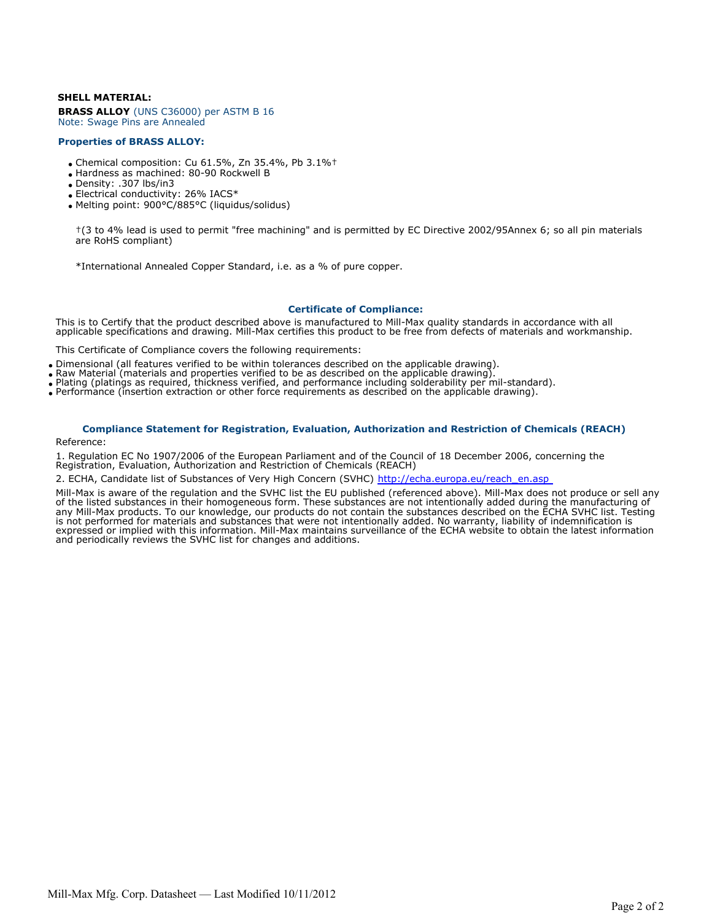#### **SHELL MATERIAL:**

**BRASS ALLOY** (UNS C36000) per ASTM B 16 Note: Swage Pins are Annealed

#### **Properties of BRASS ALLOY:**

- Chemical composition: Cu 61.5%, Zn 35.4%, Pb 3.1%†
- Hardness as machined: 80-90 Rockwell B
- Density: .307 lbs/in3
- Electrical conductivity: 26% IACS\*
- Melting point: 900°C/885°C (liquidus/solidus)

†(3 to 4% lead is used to permit "free machining" and is permitted by EC Directive 2002/95Annex 6; so all pin materials are RoHS compliant)

\*International Annealed Copper Standard, i.e. as a % of pure copper.

#### **Certificate of Compliance:**

This is to Certify that the product described above is manufactured to Mill-Max quality standards in accordance with all applicable specifications and drawing. Mill-Max certifies this product to be free from defects of materials and workmanship.

This Certificate of Compliance covers the following requirements:

- Dimensional (all features verified to be within tolerances described on the applicable drawing).
- Raw Material (materials and properties verified to be as described on the applicable drawing).
- Plating (platings as required, thickness verified, and performance including solderability per mil-standard).
- Performance (insertion extraction or other force requirements as described on the applicable drawing).

## **Compliance Statement for Registration, Evaluation, Authorization and Restriction of Chemicals (REACH)**

#### Reference:

1. Regulation EC No 1907/2006 of the European Parliament and of the Council of 18 December 2006, concerning the Registration, Evaluation, Authorization and Restriction of Chemicals (REACH)

2. ECHA, Candidate list of Substances of Very High Concern (SVHC) http://echa.europa.eu/reach\_en.asp

Mill-Max is aware of the regulation and the SVHC list the EU published (referenced above). Mill-Max does not produce or sell any of the listed substances in their homogeneous form. These substances are not intentionally added during the manufacturing of any Mill-Max products. To our knowledge, our products do not contain the substances described on the ECHA SVHC list. Testing is not performed for materials and substances that were not intentionally added. No warranty, liability of indemnification is expressed or implied with this information. Mill-Max maintains surveillance of the ECHA website to obtain the latest information and periodically reviews the SVHC list for changes and additions.